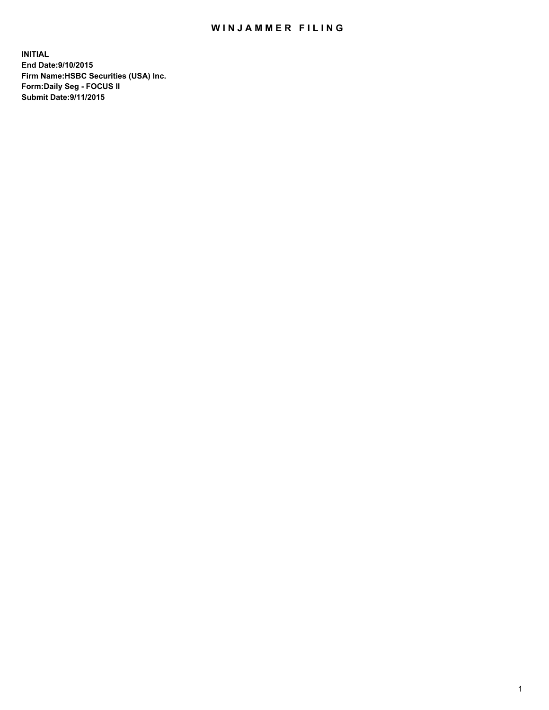## WIN JAMMER FILING

**INITIAL End Date:9/10/2015 Firm Name:HSBC Securities (USA) Inc. Form:Daily Seg - FOCUS II Submit Date:9/11/2015**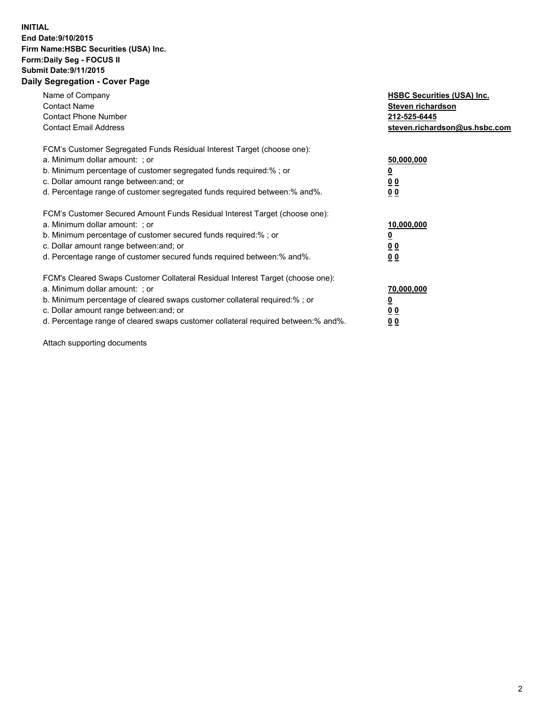## **INITIAL End Date:9/10/2015 Firm Name:HSBC Securities (USA) Inc. Form:Daily Seg - FOCUS II Submit Date:9/11/2015 Daily Segregation - Cover Page**

| Name of Company<br><b>Contact Name</b><br><b>Contact Phone Number</b><br><b>Contact Email Address</b>                                                                                                                                                                                                                          | <b>HSBC Securities (USA) Inc.</b><br>Steven richardson<br>212-525-6445<br>steven.richardson@us.hsbc.com |
|--------------------------------------------------------------------------------------------------------------------------------------------------------------------------------------------------------------------------------------------------------------------------------------------------------------------------------|---------------------------------------------------------------------------------------------------------|
| FCM's Customer Segregated Funds Residual Interest Target (choose one):<br>a. Minimum dollar amount: ; or<br>b. Minimum percentage of customer segregated funds required:%; or<br>c. Dollar amount range between: and; or<br>d. Percentage range of customer segregated funds required between: % and %.                        | 50,000,000<br>0 <sub>0</sub><br>0 <sub>0</sub>                                                          |
| FCM's Customer Secured Amount Funds Residual Interest Target (choose one):<br>a. Minimum dollar amount: ; or<br>b. Minimum percentage of customer secured funds required:%; or<br>c. Dollar amount range between: and; or<br>d. Percentage range of customer secured funds required between:% and%.                            | 10,000,000<br><u>0</u><br>0 <sub>0</sub><br>0 <sub>0</sub>                                              |
| FCM's Cleared Swaps Customer Collateral Residual Interest Target (choose one):<br>a. Minimum dollar amount: ; or<br>b. Minimum percentage of cleared swaps customer collateral required:% ; or<br>c. Dollar amount range between: and; or<br>d. Percentage range of cleared swaps customer collateral required between:% and%. | 70,000,000<br>00<br><u>00</u>                                                                           |

Attach supporting documents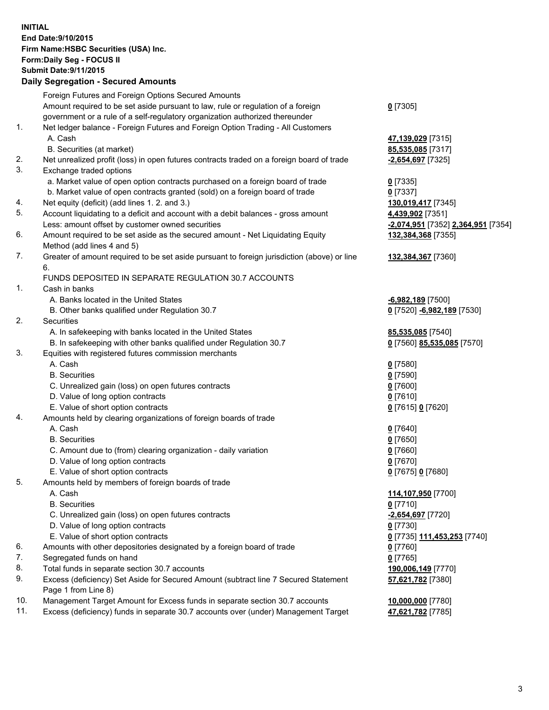**INITIAL End Date:9/10/2015 Firm Name:HSBC Securities (USA) Inc. Form:Daily Seg - FOCUS II Submit Date:9/11/2015 Daily Segregation - Secured Amounts**

Foreign Futures and Foreign Options Secured Amounts Amount required to be set aside pursuant to law, rule or regulation of a foreign government or a rule of a self-regulatory organization authorized thereunder **0** [7305] 1. Net ledger balance - Foreign Futures and Foreign Option Trading - All Customers A. Cash **47,139,029** [7315] B. Securities (at market) **85,535,085** [7317] 2. Net unrealized profit (loss) in open futures contracts traded on a foreign board of trade **-2,654,697** [7325] 3. Exchange traded options a. Market value of open option contracts purchased on a foreign board of trade **0** [7335] b. Market value of open contracts granted (sold) on a foreign board of trade **0** [7337] 4. Net equity (deficit) (add lines 1. 2. and 3.) **130,019,417** [7345] 5. Account liquidating to a deficit and account with a debit balances - gross amount **4,439,902** [7351] Less: amount offset by customer owned securities **-2,074,951** [7352] **2,364,951** [7354] 6. Amount required to be set aside as the secured amount - Net Liquidating Equity Method (add lines 4 and 5) **132,384,368** [7355] 7. Greater of amount required to be set aside pursuant to foreign jurisdiction (above) or line 6. **132,384,367** [7360] FUNDS DEPOSITED IN SEPARATE REGULATION 30.7 ACCOUNTS 1. Cash in banks A. Banks located in the United States **-6,982,189** [7500] B. Other banks qualified under Regulation 30.7 **0** [7520] **-6,982,189** [7530] 2. Securities A. In safekeeping with banks located in the United States **85,535,085** [7540] B. In safekeeping with other banks qualified under Regulation 30.7 **0** [7560] **85,535,085** [7570] 3. Equities with registered futures commission merchants A. Cash **0** [7580] B. Securities **0** [7590] C. Unrealized gain (loss) on open futures contracts **0** [7600] D. Value of long option contracts **0** [7610] E. Value of short option contracts **0** [7615] **0** [7620] 4. Amounts held by clearing organizations of foreign boards of trade A. Cash **0** [7640] B. Securities **0** [7650] C. Amount due to (from) clearing organization - daily variation **0** [7660] D. Value of long option contracts **0** [7670] E. Value of short option contracts **0** [7675] **0** [7680] 5. Amounts held by members of foreign boards of trade A. Cash **114,107,950** [7700] B. Securities **0** [7710] C. Unrealized gain (loss) on open futures contracts **-2,654,697** [7720] D. Value of long option contracts **0** [7730] E. Value of short option contracts **0** [7735] **111,453,253** [7740] 6. Amounts with other depositories designated by a foreign board of trade **0** [7760] 7. Segregated funds on hand **0** [7765] 8. Total funds in separate section 30.7 accounts **190,006,149** [7770] 9. Excess (deficiency) Set Aside for Secured Amount (subtract line 7 Secured Statement Page 1 from Line 8) **57,621,782** [7380] 10. Management Target Amount for Excess funds in separate section 30.7 accounts **10,000,000** [7780] 11. Excess (deficiency) funds in separate 30.7 accounts over (under) Management Target **47,621,782** [7785]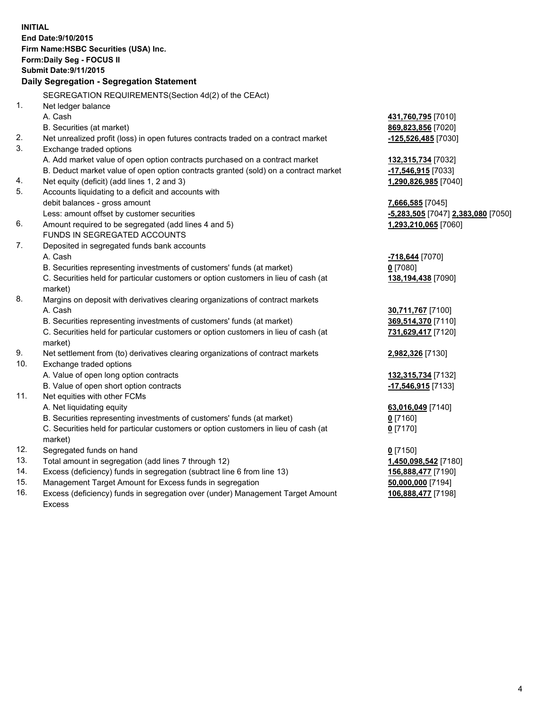**INITIAL End Date:9/10/2015 Firm Name:HSBC Securities (USA) Inc. Form:Daily Seg - FOCUS II Submit Date:9/11/2015 Daily Segregation - Segregation Statement** SEGREGATION REQUIREMENTS(Section 4d(2) of the CEAct) 1. Net ledger balance A. Cash **431,760,795** [7010] B. Securities (at market) **869,823,856** [7020] 2. Net unrealized profit (loss) in open futures contracts traded on a contract market **-125,526,485** [7030] 3. Exchange traded options A. Add market value of open option contracts purchased on a contract market **132,315,734** [7032] B. Deduct market value of open option contracts granted (sold) on a contract market **-17,546,915** [7033] 4. Net equity (deficit) (add lines 1, 2 and 3) **1,290,826,985** [7040] 5. Accounts liquidating to a deficit and accounts with debit balances - gross amount **7,666,585** [7045] Less: amount offset by customer securities **-5,283,505** [7047] **2,383,080** [7050] 6. Amount required to be segregated (add lines 4 and 5) **1,293,210,065** [7060] FUNDS IN SEGREGATED ACCOUNTS 7. Deposited in segregated funds bank accounts A. Cash **-718,644** [7070] B. Securities representing investments of customers' funds (at market) **0** [7080] C. Securities held for particular customers or option customers in lieu of cash (at market) **138,194,438** [7090] 8. Margins on deposit with derivatives clearing organizations of contract markets A. Cash **30,711,767** [7100] B. Securities representing investments of customers' funds (at market) **369,514,370** [7110] C. Securities held for particular customers or option customers in lieu of cash (at market) **731,629,417** [7120] 9. Net settlement from (to) derivatives clearing organizations of contract markets **2,982,326** [7130] 10. Exchange traded options A. Value of open long option contracts **132,315,734** [7132] B. Value of open short option contracts **-17,546,915** [7133] 11. Net equities with other FCMs A. Net liquidating equity **63,016,049** [7140] B. Securities representing investments of customers' funds (at market) **0** [7160] C. Securities held for particular customers or option customers in lieu of cash (at market) **0** [7170] 12. Segregated funds on hand **0** [7150] 13. Total amount in segregation (add lines 7 through 12) **1,450,098,542** [7180] 14. Excess (deficiency) funds in segregation (subtract line 6 from line 13) **156,888,477** [7190] 15. Management Target Amount for Excess funds in segregation **50,000,000** [7194]

16. Excess (deficiency) funds in segregation over (under) Management Target Amount Excess

**106,888,477** [7198]